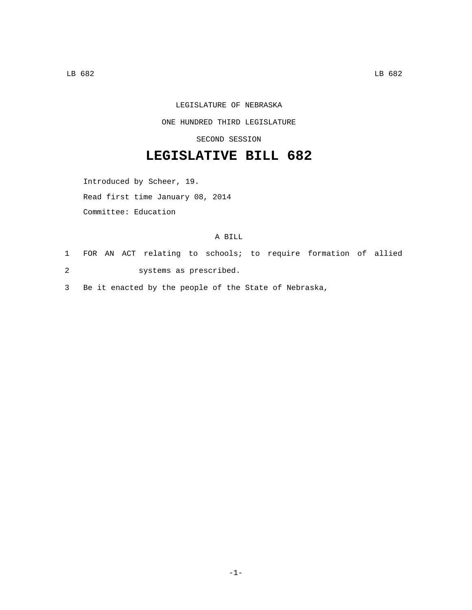## LEGISLATURE OF NEBRASKA

#### ONE HUNDRED THIRD LEGISLATURE

## SECOND SESSION

# **LEGISLATIVE BILL 682**

Introduced by Scheer, 19.

Read first time January 08, 2014

Committee: Education

#### A BILL

1 FOR AN ACT relating to schools; to require formation of allied systems as prescribed.2

3 Be it enacted by the people of the State of Nebraska,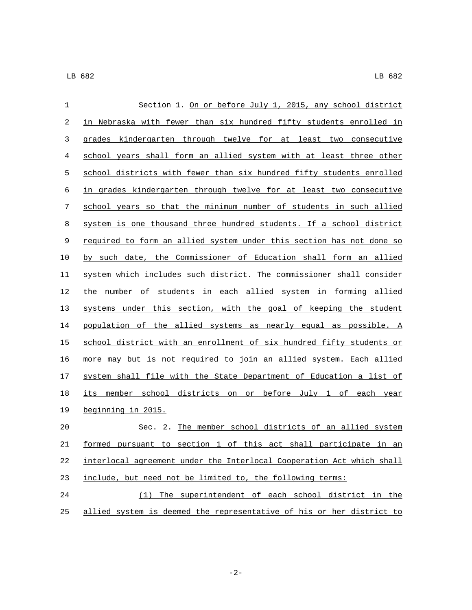| 1  | Section 1. On or before July 1, 2015, any school district             |
|----|-----------------------------------------------------------------------|
| 2  | in Nebraska with fewer than six hundred fifty students enrolled in    |
| 3  | grades kindergarten through twelve for at least two consecutive       |
| 4  | school years shall form an allied system with at least three other    |
| 5  | school districts with fewer than six hundred fifty students enrolled  |
| 6  | in grades kindergarten through twelve for at least two consecutive    |
| 7  | school years so that the minimum number of students in such allied    |
| 8  | system is one thousand three hundred students. If a school district   |
| 9  | required to form an allied system under this section has not done so  |
| 10 | by such date, the Commissioner of Education shall form an allied      |
| 11 | system which includes such district. The commissioner shall consider  |
| 12 | the number of students in each allied system in forming allied        |
| 13 | systems under this section, with the goal of keeping the student      |
| 14 | population of the allied systems as nearly equal as possible. A       |
| 15 | school district with an enrollment of six hundred fifty students or   |
| 16 | more may but is not required to join an allied system. Each allied    |
| 17 | system shall file with the State Department of Education a list of    |
| 18 | member school districts on or before July 1 of each year<br>its       |
| 19 | beginning in 2015.                                                    |
| 20 | Sec. 2. The member school districts of an allied system               |
| 21 | formed pursuant to section 1 of this act shall participate in an      |
| 22 | interlocal agreement under the Interlocal Cooperation Act which shall |
| 23 | include, but need not be limited to, the following terms:             |
| 24 | (1) The superintendent of each school district in the                 |
| 25 | allied system is deemed the representative of his or her district to  |

-2-